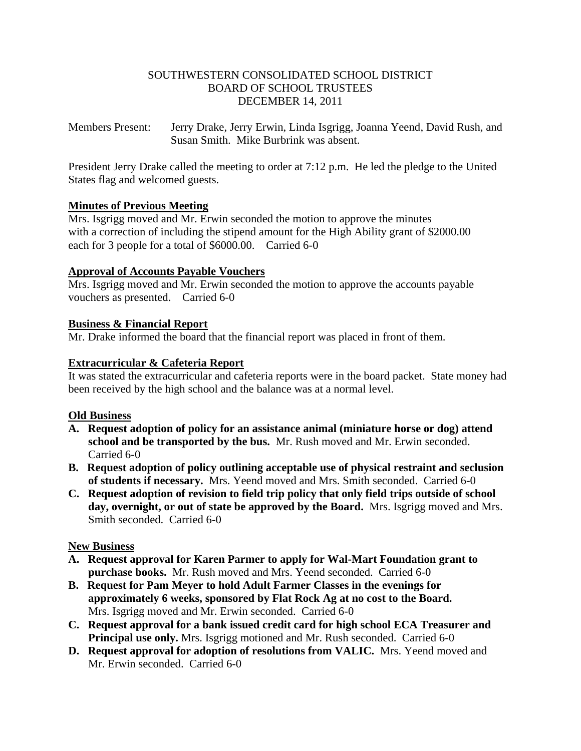## SOUTHWESTERN CONSOLIDATED SCHOOL DISTRICT BOARD OF SCHOOL TRUSTEES DECEMBER 14, 2011

Members Present: Jerry Drake, Jerry Erwin, Linda Isgrigg, Joanna Yeend, David Rush, and Susan Smith. Mike Burbrink was absent.

President Jerry Drake called the meeting to order at 7:12 p.m. He led the pledge to the United States flag and welcomed guests.

# **Minutes of Previous Meeting**

Mrs. Isgrigg moved and Mr. Erwin seconded the motion to approve the minutes with a correction of including the stipend amount for the High Ability grant of \$2000.00 each for 3 people for a total of \$6000.00. Carried 6-0

## **Approval of Accounts Payable Vouchers**

Mrs. Isgrigg moved and Mr. Erwin seconded the motion to approve the accounts payable vouchers as presented. Carried 6-0

## **Business & Financial Report**

Mr. Drake informed the board that the financial report was placed in front of them.

## **Extracurricular & Cafeteria Report**

It was stated the extracurricular and cafeteria reports were in the board packet. State money had been received by the high school and the balance was at a normal level.

### **Old Business**

- **A. Request adoption of policy for an assistance animal (miniature horse or dog) attend school and be transported by the bus.** Mr. Rush moved and Mr. Erwin seconded. Carried 6-0
- **B. Request adoption of policy outlining acceptable use of physical restraint and seclusion of students if necessary.** Mrs. Yeend moved and Mrs. Smith seconded. Carried 6-0
- **C. Request adoption of revision to field trip policy that only field trips outside of school day, overnight, or out of state be approved by the Board.** Mrs. Isgrigg moved and Mrs. Smith seconded. Carried 6-0

# **New Business**

- **A. Request approval for Karen Parmer to apply for Wal-Mart Foundation grant to purchase books.** Mr. Rush moved and Mrs. Yeend seconded. Carried 6-0
- **B. Request for Pam Meyer to hold Adult Farmer Classes in the evenings for approximately 6 weeks, sponsored by Flat Rock Ag at no cost to the Board.** Mrs. Isgrigg moved and Mr. Erwin seconded. Carried 6-0
- **C. Request approval for a bank issued credit card for high school ECA Treasurer and Principal use only.** Mrs. Isgrigg motioned and Mr. Rush seconded. Carried 6-0
- **D. Request approval for adoption of resolutions from VALIC.** Mrs. Yeend moved and Mr. Erwin seconded. Carried 6-0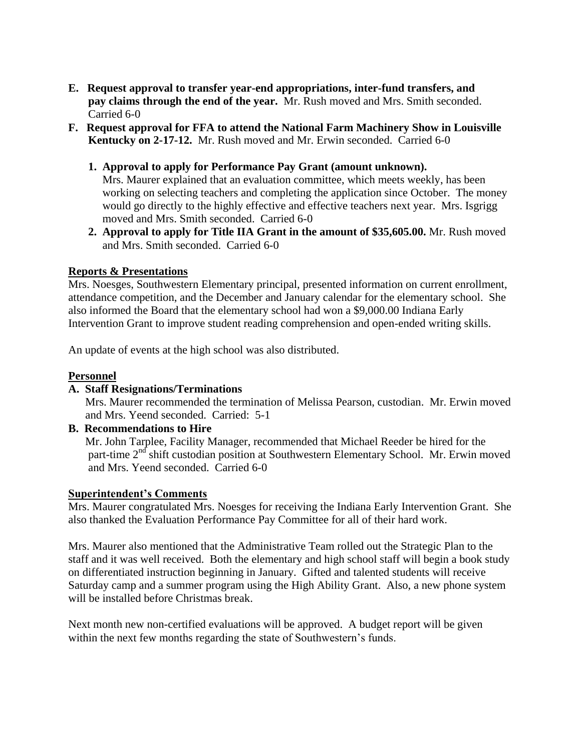- **E. Request approval to transfer year-end appropriations, inter-fund transfers, and pay claims through the end of the year.** Mr. Rush moved and Mrs. Smith seconded. Carried 6-0
- **F. Request approval for FFA to attend the National Farm Machinery Show in Louisville Kentucky on 2-17-12.** Mr. Rush moved and Mr. Erwin seconded. Carried 6-0
	- **1. Approval to apply for Performance Pay Grant (amount unknown).**

Mrs. Maurer explained that an evaluation committee, which meets weekly, has been working on selecting teachers and completing the application since October. The money would go directly to the highly effective and effective teachers next year. Mrs. Isgrigg moved and Mrs. Smith seconded. Carried 6-0

 **2. Approval to apply for Title IIA Grant in the amount of \$35,605.00.** Mr. Rush moved and Mrs. Smith seconded. Carried 6-0

### **Reports & Presentations**

Mrs. Noesges, Southwestern Elementary principal, presented information on current enrollment, attendance competition, and the December and January calendar for the elementary school. She also informed the Board that the elementary school had won a \$9,000.00 Indiana Early Intervention Grant to improve student reading comprehension and open-ended writing skills.

An update of events at the high school was also distributed.

#### **Personnel**

#### **A. Staff Resignations/Terminations**

Mrs. Maurer recommended the termination of Melissa Pearson, custodian.Mr. Erwin moved and Mrs. Yeend seconded. Carried: 5-1

### **B. Recommendations to Hire**

 Mr. John Tarplee, Facility Manager, recommended that Michael Reeder be hired for the part-time  $2<sup>nd</sup>$  shift custodian position at Southwestern Elementary School. Mr. Erwin moved and Mrs. Yeend seconded. Carried 6-0

#### **Superintendent's Comments**

Mrs. Maurer congratulated Mrs. Noesges for receiving the Indiana Early Intervention Grant. She also thanked the Evaluation Performance Pay Committee for all of their hard work.

Mrs. Maurer also mentioned that the Administrative Team rolled out the Strategic Plan to the staff and it was well received. Both the elementary and high school staff will begin a book study on differentiated instruction beginning in January. Gifted and talented students will receive Saturday camp and a summer program using the High Ability Grant. Also, a new phone system will be installed before Christmas break.

Next month new non-certified evaluations will be approved. A budget report will be given within the next few months regarding the state of Southwestern's funds.